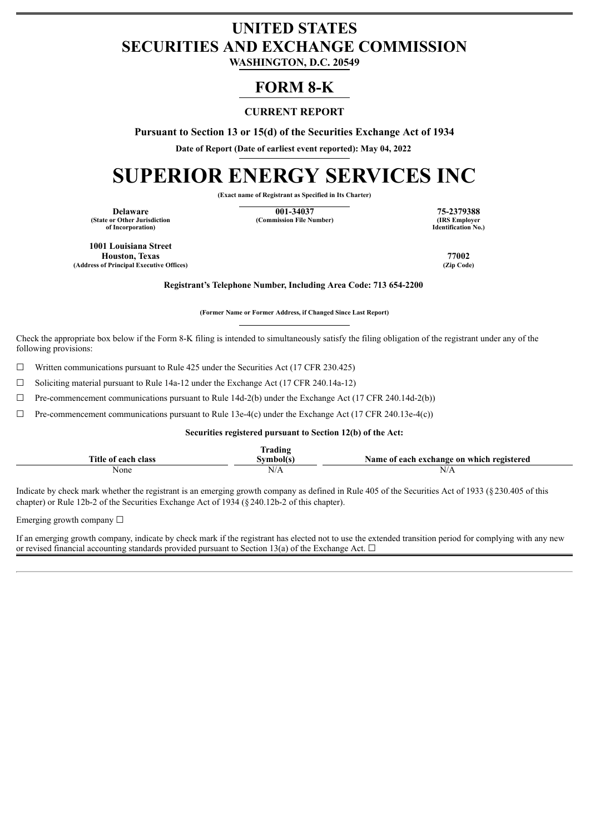# **UNITED STATES SECURITIES AND EXCHANGE COMMISSION**

**WASHINGTON, D.C. 20549**

# **FORM 8-K**

# **CURRENT REPORT**

**Pursuant to Section 13 or 15(d) of the Securities Exchange Act of 1934**

**Date of Report (Date of earliest event reported): May 04, 2022**

# **SUPERIOR ENERGY SERVICES INC**

**(Exact name of Registrant as Specified in Its Charter)**

**(State or Other Jurisdiction of Incorporation)**

**Delaware 11 125-2379388**<br> **125-2379388**<br> **125-2379388**<br> **125-2379388**<br> **125-2379388**<br> **125-2379388**<br> **125-2379388 (Commission File Number)** 

**Identification No.)**

**1001 Louisiana Street Houston, Texas 77002 (Address of Principal Executive Offices)** 

**Registrant's Telephone Number, Including Area Code: 713 654-2200**

**(Former Name or Former Address, if Changed Since Last Report)**

Check the appropriate box below if the Form 8-K filing is intended to simultaneously satisfy the filing obligation of the registrant under any of the following provisions:

 $\Box$  Written communications pursuant to Rule 425 under the Securities Act (17 CFR 230.425)

☐ Soliciting material pursuant to Rule 14a-12 under the Exchange Act (17 CFR 240.14a-12)

 $\Box$  Pre-commencement communications pursuant to Rule 14d-2(b) under the Exchange Act (17 CFR 240.14d-2(b))

 $\Box$  Pre-commencement communications pursuant to Rule 13e-4(c) under the Exchange Act (17 CFR 240.13e-4(c))

**Securities registered pursuant to Section 12(b) of the Act:**

|                              | —<br>rading |                                                |
|------------------------------|-------------|------------------------------------------------|
| Title.<br>class<br>e ot each | <b>TIME</b> | f each exchange on which registered<br>Name of |
| None                         | N/A         | N/A                                            |

Indicate by check mark whether the registrant is an emerging growth company as defined in Rule 405 of the Securities Act of 1933 (§230.405 of this chapter) or Rule 12b-2 of the Securities Exchange Act of 1934 (§240.12b-2 of this chapter).

Emerging growth company  $\Box$ 

If an emerging growth company, indicate by check mark if the registrant has elected not to use the extended transition period for complying with any new or revised financial accounting standards provided pursuant to Section 13(a) of the Exchange Act.  $\Box$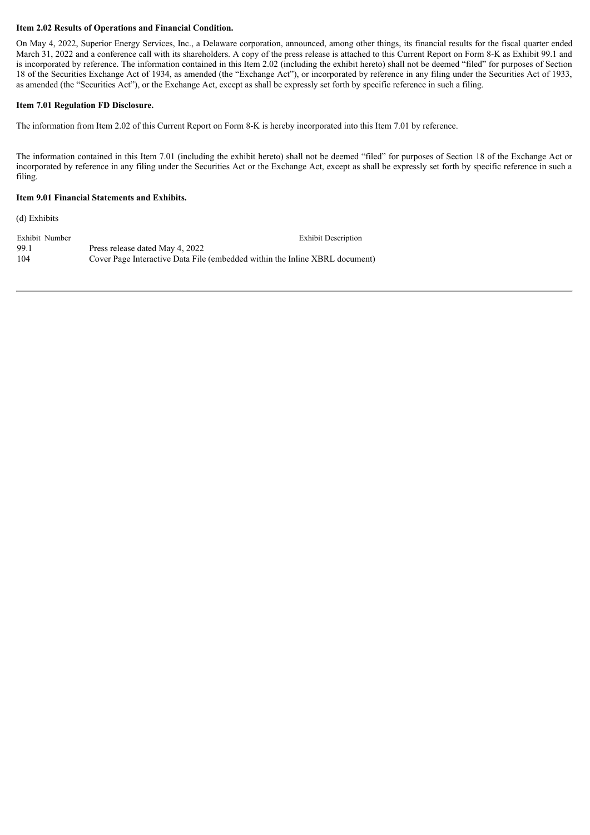#### **Item 2.02 Results of Operations and Financial Condition.**

On May 4, 2022, Superior Energy Services, Inc., a Delaware corporation, announced, among other things, its financial results for the fiscal quarter ended March 31, 2022 and a conference call with its shareholders. A copy of the press release is attached to this Current Report on Form 8-K as Exhibit 99.1 and is incorporated by reference. The information contained in this Item 2.02 (including the exhibit hereto) shall not be deemed "filed" for purposes of Section 18 of the Securities Exchange Act of 1934, as amended (the "Exchange Act"), or incorporated by reference in any filing under the Securities Act of 1933, as amended (the "Securities Act"), or the Exchange Act, except as shall be expressly set forth by specific reference in such a filing.

#### **Item 7.01 Regulation FD Disclosure.**

The information from Item 2.02 of this Current Report on Form 8-K is hereby incorporated into this Item 7.01 by reference.

The information contained in this Item 7.01 (including the exhibit hereto) shall not be deemed "filed" for purposes of Section 18 of the Exchange Act or incorporated by reference in any filing under the Securities Act or the Exchange Act, except as shall be expressly set forth by specific reference in such a filing.

#### **Item 9.01 Financial Statements and Exhibits.**

(d) Exhibits

Exhibit Number Exhibit Description 99.1 Press release dated May 4, 2022 104 Cover Page Interactive Data File (embedded within the Inline XBRL document)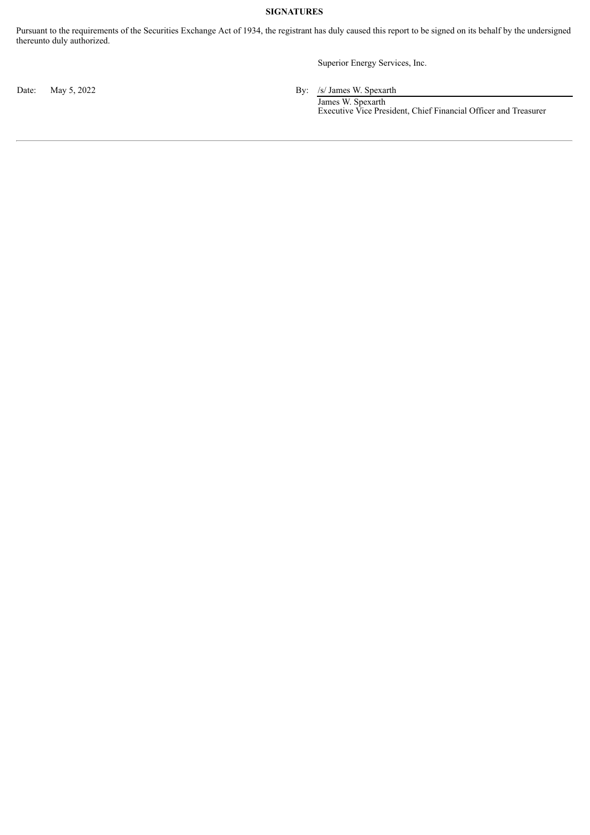### **SIGNATURES**

Pursuant to the requirements of the Securities Exchange Act of 1934, the registrant has duly caused this report to be signed on its behalf by the undersigned thereunto duly authorized.

Superior Energy Services, Inc.

Date: May 5, 2022 By: /s/ James W. Spexarth

James W. Spexarth Executive Vice President, Chief Financial Officer and Treasurer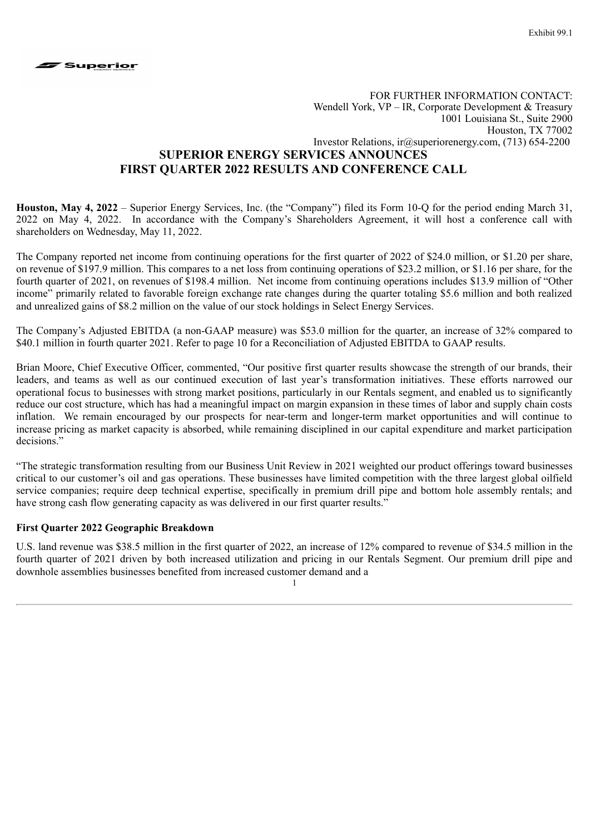

# FOR FURTHER INFORMATION CONTACT: Wendell York, VP – IR, Corporate Development & Treasury 1001 Louisiana St., Suite 2900 Houston, TX 77002 Investor Relations, ir@superiorenergy.com, (713) 654-2200 **SUPERIOR ENERGY SERVICES ANNOUNCES FIRST QUARTER 2022 RESULTS AND CONFERENCE CALL**

**Houston, May 4, 2022** – Superior Energy Services, Inc. (the "Company") filed its Form 10-Q for the period ending March 31, 2022 on May 4, 2022. In accordance with the Company's Shareholders Agreement, it will host a conference call with shareholders on Wednesday, May 11, 2022.

The Company reported net income from continuing operations for the first quarter of 2022 of \$24.0 million, or \$1.20 per share, on revenue of \$197.9 million. This compares to a net loss from continuing operations of \$23.2 million, or \$1.16 per share, for the fourth quarter of 2021, on revenues of \$198.4 million. Net income from continuing operations includes \$13.9 million of "Other income" primarily related to favorable foreign exchange rate changes during the quarter totaling \$5.6 million and both realized and unrealized gains of \$8.2 million on the value of our stock holdings in Select Energy Services.

The Company's Adjusted EBITDA (a non-GAAP measure) was \$53.0 million for the quarter, an increase of 32% compared to \$40.1 million in fourth quarter 2021. Refer to page 10 for a Reconciliation of Adjusted EBITDA to GAAP results.

Brian Moore, Chief Executive Officer, commented, "Our positive first quarter results showcase the strength of our brands, their leaders, and teams as well as our continued execution of last year's transformation initiatives. These efforts narrowed our operational focus to businesses with strong market positions, particularly in our Rentals segment, and enabled us to significantly reduce our cost structure, which has had a meaningful impact on margin expansion in these times of labor and supply chain costs inflation. We remain encouraged by our prospects for near-term and longer-term market opportunities and will continue to increase pricing as market capacity is absorbed, while remaining disciplined in our capital expenditure and market participation decisions<sup>"</sup>

"The strategic transformation resulting from our Business Unit Review in 2021 weighted our product offerings toward businesses critical to our customer's oil and gas operations. These businesses have limited competition with the three largest global oilfield service companies; require deep technical expertise, specifically in premium drill pipe and bottom hole assembly rentals; and have strong cash flow generating capacity as was delivered in our first quarter results."

# **First Quarter 2022 Geographic Breakdown**

U.S. land revenue was \$38.5 million in the first quarter of 2022, an increase of 12% compared to revenue of \$34.5 million in the fourth quarter of 2021 driven by both increased utilization and pricing in our Rentals Segment. Our premium drill pipe and downhole assemblies businesses benefited from increased customer demand and a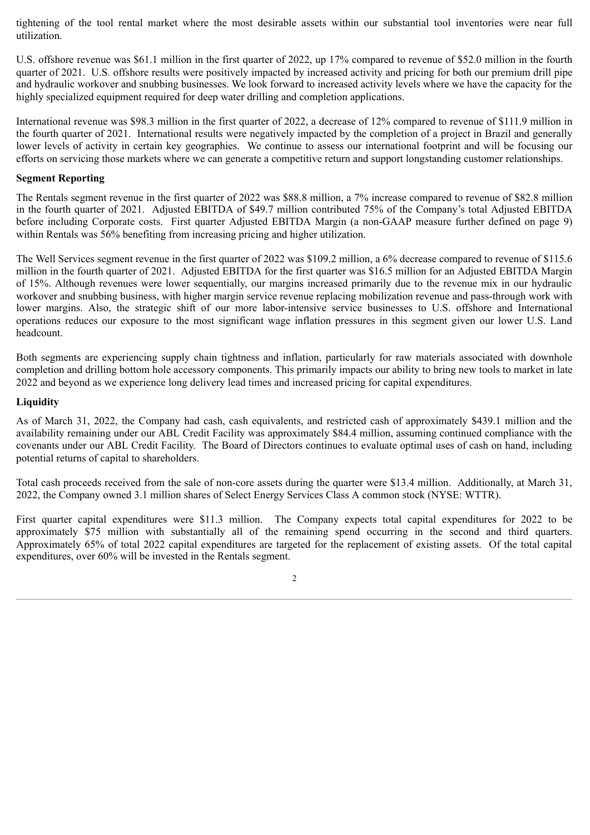tightening of the tool rental market where the most desirable assets within our substantial tool inventories were near full utilization.

U.S. offshore revenue was \$61.1 million in the first quarter of 2022, up 17% compared to revenue of \$52.0 million in the fourth quarter of 2021. U.S. offshore results were positively impacted by increased activity and pricing for both our premium drill pipe and hydraulic workover and snubbing businesses. We look forward to increased activity levels where we have the capacity for the highly specialized equipment required for deep water drilling and completion applications.

International revenue was \$98.3 million in the first quarter of 2022, a decrease of 12% compared to revenue of \$111.9 million in the fourth quarter of 2021. International results were negatively impacted by the completion of a project in Brazil and generally lower levels of activity in certain key geographies. We continue to assess our international footprint and will be focusing our efforts on servicing those markets where we can generate a competitive return and support longstanding customer relationships.

# **Segment Reporting**

The Rentals segment revenue in the first quarter of 2022 was \$88.8 million, a 7% increase compared to revenue of \$82.8 million in the fourth quarter of 2021. Adjusted EBITDA of \$49.7 million contributed 75% of the Company's total Adjusted EBITDA before including Corporate costs. First quarter Adjusted EBITDA Margin (a non-GAAP measure further defined on page 9) within Rentals was 56% benefiting from increasing pricing and higher utilization.

The Well Services segment revenue in the first quarter of 2022 was \$109.2 million, a 6% decrease compared to revenue of \$115.6 million in the fourth quarter of 2021. Adjusted EBITDA for the first quarter was \$16.5 million for an Adjusted EBITDA Margin of 15%. Although revenues were lower sequentially, our margins increased primarily due to the revenue mix in our hydraulic workover and snubbing business, with higher margin service revenue replacing mobilization revenue and pass-through work with lower margins. Also, the strategic shift of our more labor-intensive service businesses to U.S. offshore and International operations reduces our exposure to the most significant wage inflation pressures in this segment given our lower U.S. Land headcount.

Both segments are experiencing supply chain tightness and inflation, particularly for raw materials associated with downhole completion and drilling bottom hole accessory components. This primarily impacts our ability to bring new tools to market in late 2022 and beyond as we experience long delivery lead times and increased pricing for capital expenditures.

# **Liquidity**

As of March 31, 2022, the Company had cash, cash equivalents, and restricted cash of approximately \$439.1 million and the availability remaining under our ABL Credit Facility was approximately \$84.4 million, assuming continued compliance with the covenants under our ABL Credit Facility. The Board of Directors continues to evaluate optimal uses of cash on hand, including potential returns of capital to shareholders.

Total cash proceeds received from the sale of non-core assets during the quarter were \$13.4 million. Additionally, at March 31, 2022, the Company owned 3.1 million shares of Select Energy Services Class A common stock (NYSE: WTTR).

First quarter capital expenditures were \$11.3 million. The Company expects total capital expenditures for 2022 to be approximately \$75 million with substantially all of the remaining spend occurring in the second and third quarters. Approximately 65% of total 2022 capital expenditures are targeted for the replacement of existing assets. Of the total capital expenditures, over 60% will be invested in the Rentals segment.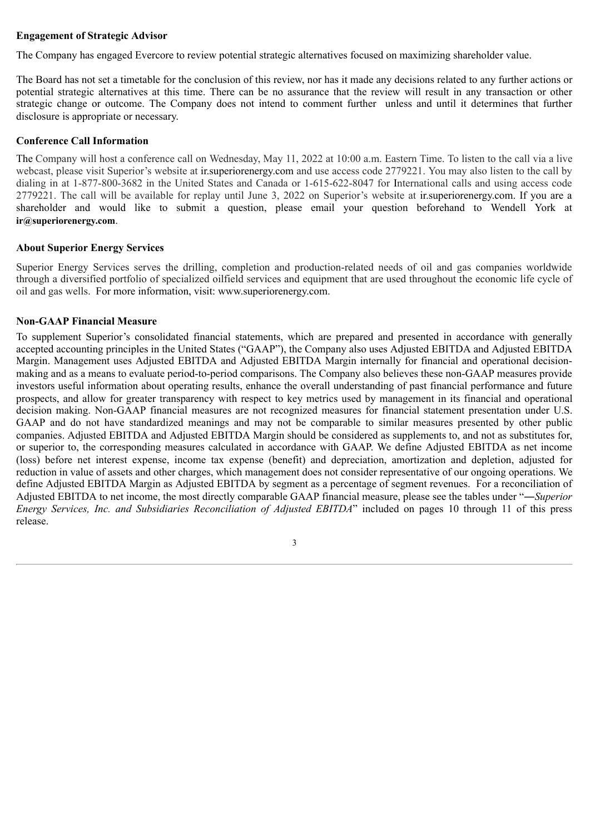# **Engagement of Strategic Advisor**

The Company has engaged Evercore to review potential strategic alternatives focused on maximizing shareholder value.

The Board has not set a timetable for the conclusion of this review, nor has it made any decisions related to any further actions or potential strategic alternatives at this time. There can be no assurance that the review will result in any transaction or other strategic change or outcome. The Company does not intend to comment further unless and until it determines that further disclosure is appropriate or necessary.

## **Conference Call Information**

The Company will host a conference call on Wednesday, May 11, 2022 at 10:00 a.m. Eastern Time. To listen to the call via a live webcast, please visit Superior's website at ir.superiorenergy.com and use access code 2779221. You may also listen to the call by dialing in at 1-877-800-3682 in the United States and Canada or 1-615-622-8047 for International calls and using access code 2779221. The call will be available for replay until June 3, 2022 on Superior's website at ir.superiorenergy.com. If you are a shareholder and would like to submit a question, please email your question beforehand to Wendell York at **ir@superiorenergy.com**.

#### **About Superior Energy Services**

Superior Energy Services serves the drilling, completion and production-related needs of oil and gas companies worldwide through a diversified portfolio of specialized oilfield services and equipment that are used throughout the economic life cycle of oil and gas wells. For more information, visit: www.superiorenergy.com.

## **Non-GAAP Financial Measure**

To supplement Superior's consolidated financial statements, which are prepared and presented in accordance with generally accepted accounting principles in the United States ("GAAP"), the Company also uses Adjusted EBITDA and Adjusted EBITDA Margin. Management uses Adjusted EBITDA and Adjusted EBITDA Margin internally for financial and operational decisionmaking and as a means to evaluate period-to-period comparisons. The Company also believes these non-GAAP measures provide investors useful information about operating results, enhance the overall understanding of past financial performance and future prospects, and allow for greater transparency with respect to key metrics used by management in its financial and operational decision making. Non-GAAP financial measures are not recognized measures for financial statement presentation under U.S. GAAP and do not have standardized meanings and may not be comparable to similar measures presented by other public companies. Adjusted EBITDA and Adjusted EBITDA Margin should be considered as supplements to, and not as substitutes for, or superior to, the corresponding measures calculated in accordance with GAAP. We define Adjusted EBITDA as net income (loss) before net interest expense, income tax expense (benefit) and depreciation, amortization and depletion, adjusted for reduction in value of assets and other charges, which management does not consider representative of our ongoing operations. We define Adjusted EBITDA Margin as Adjusted EBITDA by segment as a percentage of segment revenues. For a reconciliation of Adjusted EBITDA to net income, the most directly comparable GAAP financial measure, please see the tables under "―*Superior Energy Services, Inc. and Subsidiaries Reconciliation of Adjusted EBITDA*" included on pages 10 through 11 of this press release.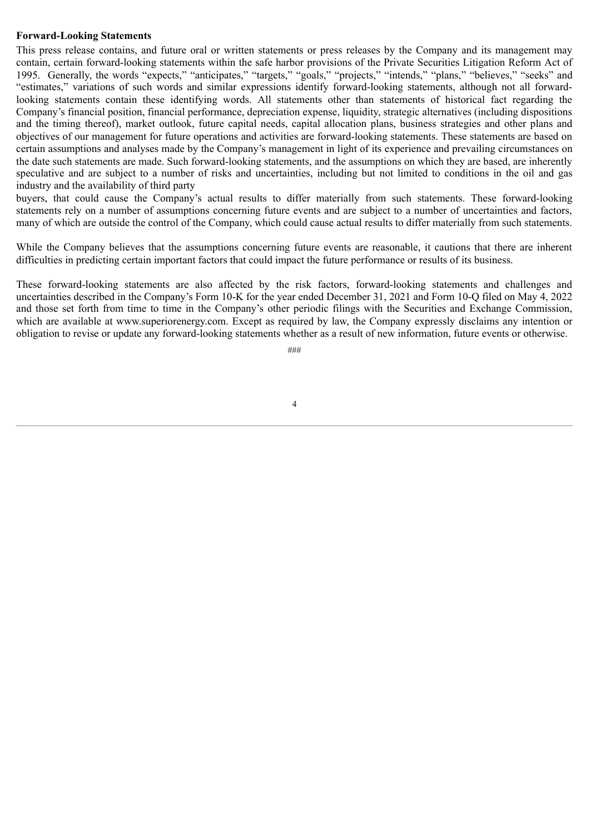#### **Forward-Looking Statements**

This press release contains, and future oral or written statements or press releases by the Company and its management may contain, certain forward-looking statements within the safe harbor provisions of the Private Securities Litigation Reform Act of 1995. Generally, the words "expects," "anticipates," "targets," "goals," "projects," "intends," "plans," "believes," "seeks" and "estimates," variations of such words and similar expressions identify forward-looking statements, although not all forwardlooking statements contain these identifying words. All statements other than statements of historical fact regarding the Company's financial position, financial performance, depreciation expense, liquidity, strategic alternatives (including dispositions and the timing thereof), market outlook, future capital needs, capital allocation plans, business strategies and other plans and objectives of our management for future operations and activities are forward-looking statements. These statements are based on certain assumptions and analyses made by the Company's management in light of its experience and prevailing circumstances on the date such statements are made. Such forward-looking statements, and the assumptions on which they are based, are inherently speculative and are subject to a number of risks and uncertainties, including but not limited to conditions in the oil and gas industry and the availability of third party

buyers, that could cause the Company's actual results to differ materially from such statements. These forward-looking statements rely on a number of assumptions concerning future events and are subject to a number of uncertainties and factors, many of which are outside the control of the Company, which could cause actual results to differ materially from such statements.

While the Company believes that the assumptions concerning future events are reasonable, it cautions that there are inherent difficulties in predicting certain important factors that could impact the future performance or results of its business.

These forward-looking statements are also affected by the risk factors, forward-looking statements and challenges and uncertainties described in the Company's Form 10-K for the year ended December 31, 2021 and Form 10-Q filed on May 4, 2022 and those set forth from time to time in the Company's other periodic filings with the Securities and Exchange Commission, which are available at www.superiorenergy.com. Except as required by law, the Company expressly disclaims any intention or obligation to revise or update any forward-looking statements whether as a result of new information, future events or otherwise.

###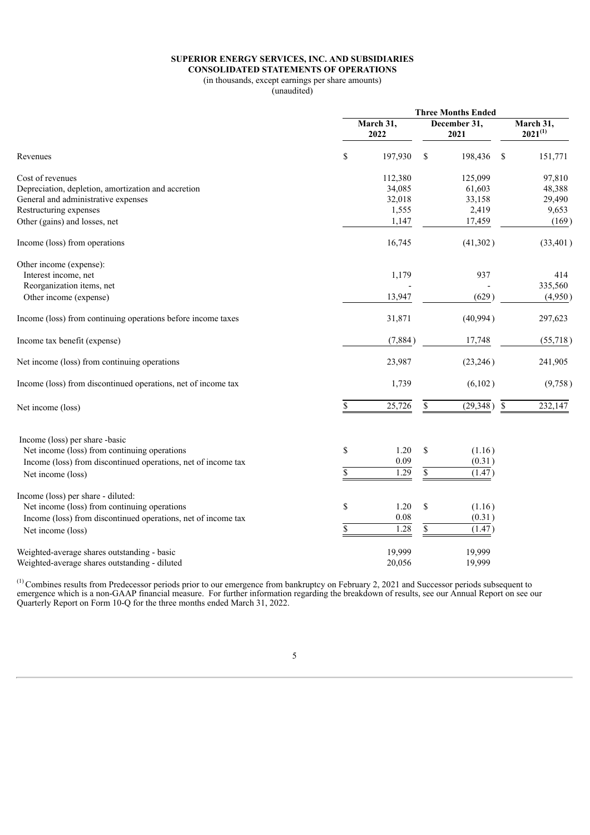#### **SUPERIOR ENERGY SERVICES, INC. AND SUBSIDIARIES CONSOLIDATED STATEMENTS OF OPERATIONS**

# (in thousands, except earnings per share amounts)

(unaudited)

|                                                               |                   |         |                      | <b>Three Months Ended</b> |               |                           |  |  |
|---------------------------------------------------------------|-------------------|---------|----------------------|---------------------------|---------------|---------------------------|--|--|
|                                                               | March 31,<br>2022 |         | December 31,<br>2021 |                           |               | March 31,<br>$2021^{(1)}$ |  |  |
| Revenues                                                      | \$                | 197,930 | \$                   | 198,436                   | <sup>\$</sup> | 151,771                   |  |  |
| Cost of revenues                                              |                   | 112,380 |                      | 125,099                   |               | 97,810                    |  |  |
| Depreciation, depletion, amortization and accretion           |                   | 34,085  |                      | 61,603                    |               | 48,388                    |  |  |
| General and administrative expenses                           |                   | 32,018  |                      | 33,158                    |               | 29,490                    |  |  |
| Restructuring expenses                                        |                   | 1,555   |                      | 2,419                     |               | 9,653                     |  |  |
| Other (gains) and losses, net                                 |                   | 1,147   |                      | 17,459                    |               | (169)                     |  |  |
| Income (loss) from operations                                 |                   | 16,745  |                      | (41,302)                  |               | (33, 401)                 |  |  |
| Other income (expense):                                       |                   |         |                      |                           |               |                           |  |  |
| Interest income, net                                          |                   | 1,179   |                      | 937                       |               | 414                       |  |  |
| Reorganization items, net                                     |                   |         |                      |                           |               | 335,560                   |  |  |
| Other income (expense)                                        |                   | 13,947  |                      | (629)                     |               | (4,950)                   |  |  |
| Income (loss) from continuing operations before income taxes  |                   | 31,871  |                      | (40,994)                  |               | 297,623                   |  |  |
| Income tax benefit (expense)                                  |                   | (7,884) |                      | 17,748                    |               | (55,718)                  |  |  |
| Net income (loss) from continuing operations                  |                   | 23,987  |                      | (23, 246)                 |               | 241,905                   |  |  |
| Income (loss) from discontinued operations, net of income tax |                   | 1,739   |                      | (6,102)                   |               | (9,758)                   |  |  |
| Net income (loss)                                             | $\mathbb S$       | 25,726  | \$                   | (29, 348)                 | $\sqrt{\ }$   | 232,147                   |  |  |
| Income (loss) per share -basic                                |                   |         |                      |                           |               |                           |  |  |
| Net income (loss) from continuing operations                  | \$                | 1.20    | \$                   | (1.16)                    |               |                           |  |  |
| Income (loss) from discontinued operations, net of income tax |                   | 0.09    |                      | (0.31)                    |               |                           |  |  |
|                                                               | \$                | 1.29    | $\$$                 | (1.47)                    |               |                           |  |  |
| Net income (loss)                                             |                   |         |                      |                           |               |                           |  |  |
| Income (loss) per share - diluted:                            |                   |         |                      |                           |               |                           |  |  |
| Net income (loss) from continuing operations                  | \$                | 1.20    | \$                   | (1.16)                    |               |                           |  |  |
| Income (loss) from discontinued operations, net of income tax |                   | 0.08    |                      | (0.31)                    |               |                           |  |  |
| Net income (loss)                                             | \$                | 1.28    | $\mathbb{S}$         | (1.47)                    |               |                           |  |  |
| Weighted-average shares outstanding - basic                   |                   | 19,999  |                      | 19,999                    |               |                           |  |  |
| Weighted-average shares outstanding - diluted                 |                   | 20,056  |                      | 19,999                    |               |                           |  |  |

Combines results from Predecessor periods prior to our emergence from bankruptcy on February 2, 2021 and Successor periods subsequent to emergence which is a non-GAAP financial measure. For further information regarding the breakdown of results, see our Annual Report on see our Quarterly Report on Form 10-Q for the three months ended March 31, 2022. (1)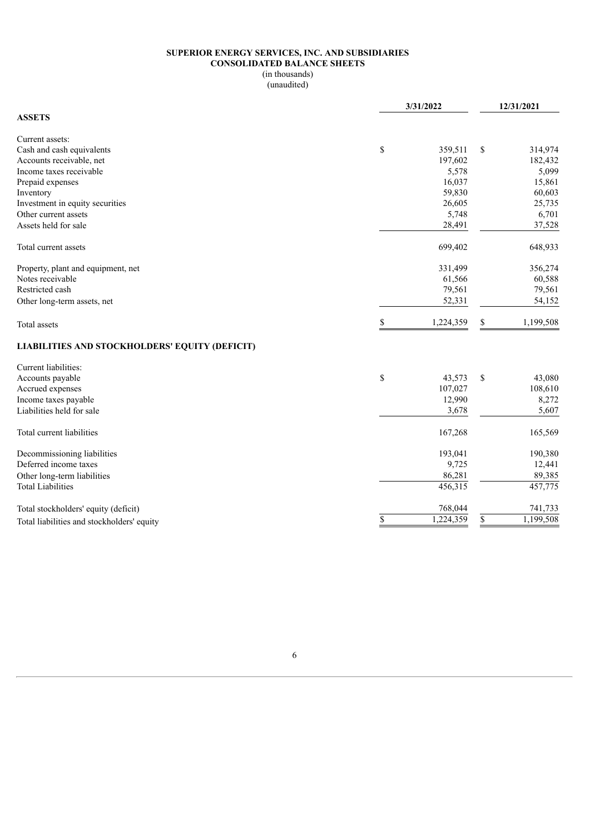#### **SUPERIOR ENERGY SERVICES, INC. AND SUBSIDIARIES CONSOLIDATED BALANCE SHEETS**

# (in thousands)

(unaudited)

|                                                | 3/31/2022 |           |    | 12/31/2021 |  |  |
|------------------------------------------------|-----------|-----------|----|------------|--|--|
| <b>ASSETS</b>                                  |           |           |    |            |  |  |
| Current assets:                                |           |           |    |            |  |  |
| Cash and cash equivalents                      | \$        | 359,511   | \$ | 314,974    |  |  |
| Accounts receivable, net                       |           | 197,602   |    | 182,432    |  |  |
| Income taxes receivable                        |           | 5,578     |    | 5,099      |  |  |
| Prepaid expenses                               |           | 16,037    |    | 15,861     |  |  |
| Inventory                                      |           | 59,830    |    | 60,603     |  |  |
| Investment in equity securities                |           | 26,605    |    | 25,735     |  |  |
| Other current assets                           |           | 5,748     |    | 6,701      |  |  |
| Assets held for sale                           |           | 28,491    |    | 37,528     |  |  |
| Total current assets                           |           | 699,402   |    | 648,933    |  |  |
| Property, plant and equipment, net             |           | 331,499   |    | 356,274    |  |  |
| Notes receivable                               |           | 61,566    |    | 60,588     |  |  |
| Restricted cash                                |           | 79,561    |    | 79,561     |  |  |
| Other long-term assets, net                    | 52,331    |           |    | 54,152     |  |  |
| Total assets                                   | \$        | 1,224,359 | \$ | 1,199,508  |  |  |
| LIABILITIES AND STOCKHOLDERS' EQUITY (DEFICIT) |           |           |    |            |  |  |
| Current liabilities:                           |           |           |    |            |  |  |
| Accounts payable                               | \$        | 43,573    | \$ | 43,080     |  |  |
| Accrued expenses                               |           | 107,027   |    | 108,610    |  |  |
| Income taxes payable                           |           | 12,990    |    | 8,272      |  |  |
| Liabilities held for sale                      |           | 3,678     |    | 5,607      |  |  |
| Total current liabilities                      |           | 167,268   |    | 165,569    |  |  |
| Decommissioning liabilities                    |           | 193,041   |    | 190,380    |  |  |
| Deferred income taxes                          |           | 9,725     |    | 12,441     |  |  |
| Other long-term liabilities                    |           | 86,281    |    | 89,385     |  |  |
| <b>Total Liabilities</b>                       |           | 456,315   |    | 457,775    |  |  |
| Total stockholders' equity (deficit)           |           | 768,044   |    | 741,733    |  |  |
| Total liabilities and stockholders' equity     | \$        | 1,224,359 | \$ | 1,199,508  |  |  |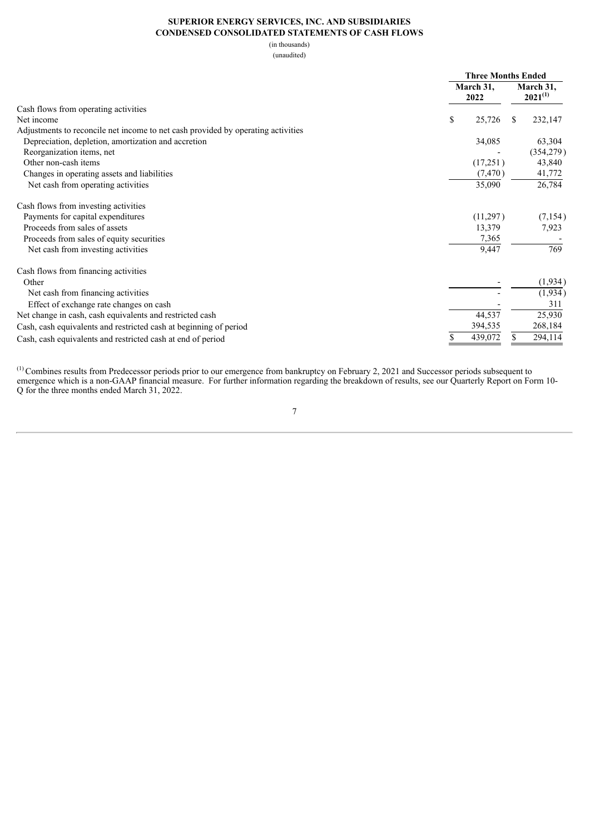#### **SUPERIOR ENERGY SERVICES, INC. AND SUBSIDIARIES CONDENSED CONSOLIDATED STATEMENTS OF CASH FLOWS**

(in thousands)

(unaudited)

|                                                                                  | <b>Three Months Ended</b> |                           |  |
|----------------------------------------------------------------------------------|---------------------------|---------------------------|--|
|                                                                                  | March 31,<br>2022         | March 31,<br>$2021^{(1)}$ |  |
| Cash flows from operating activities                                             |                           |                           |  |
| Net income                                                                       | \$<br>25,726              | 232,147<br>\$.            |  |
| Adjustments to reconcile net income to net cash provided by operating activities |                           |                           |  |
| Depreciation, depletion, amortization and accretion                              | 34,085                    | 63,304                    |  |
| Reorganization items, net                                                        |                           | (354, 279)                |  |
| Other non-cash items                                                             | (17,251)                  | 43,840                    |  |
| Changes in operating assets and liabilities                                      | (7, 470)                  | 41,772                    |  |
| Net cash from operating activities                                               | 35,090                    | 26,784                    |  |
| Cash flows from investing activities                                             |                           |                           |  |
| Payments for capital expenditures                                                | (11,297)                  | (7,154)                   |  |
| Proceeds from sales of assets                                                    | 13,379                    | 7,923                     |  |
| Proceeds from sales of equity securities                                         | 7,365                     |                           |  |
| Net cash from investing activities                                               | 9,447                     | 769                       |  |
| Cash flows from financing activities                                             |                           |                           |  |
| Other                                                                            |                           | (1,934)                   |  |
| Net cash from financing activities                                               |                           | (1,934)                   |  |
| Effect of exchange rate changes on cash                                          |                           | 311                       |  |
| Net change in cash, cash equivalents and restricted cash                         | 44,537                    | 25,930                    |  |
| Cash, cash equivalents and restricted cash at beginning of period                | 394,535                   | 268,184                   |  |
| Cash, cash equivalents and restricted cash at end of period                      | 439,072                   | 294,114<br>\$.            |  |

Combines results from Predecessor periods prior to our emergence from bankruptcy on February 2, 2021 and Successor periods subsequent to emergence which is a non-GAAP financial measure. For further information regarding the breakdown of results, see our Quarterly Report on Form 10- Q for the three months ended March 31, 2022. (1)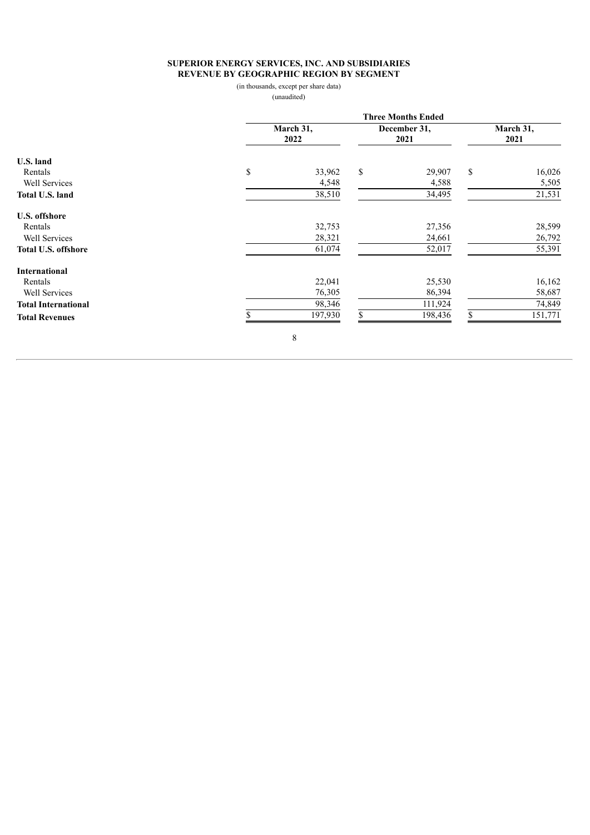# **SUPERIOR ENERGY SERVICES, INC. AND SUBSIDIARIES REVENUE BY GEOGRAPHIC REGION BY SEGMENT**

(in thousands, except per share data)

(unaudited)

|                            |             | <b>Three Months Ended</b> |    |                      |                   |         |  |  |  |  |
|----------------------------|-------------|---------------------------|----|----------------------|-------------------|---------|--|--|--|--|
|                            | 2022        | March 31,                 |    | December 31,<br>2021 | March 31,<br>2021 |         |  |  |  |  |
| U.S. land                  |             |                           |    |                      |                   |         |  |  |  |  |
| Rentals                    | \$          | 33,962                    | \$ | 29,907               | $\mathbb{S}$      | 16,026  |  |  |  |  |
| Well Services              |             | 4,548                     |    | 4,588                |                   | 5,505   |  |  |  |  |
| Total U.S. land            |             | 38,510                    |    | 34,495               |                   | 21,531  |  |  |  |  |
| U.S. offshore              |             |                           |    |                      |                   |         |  |  |  |  |
| Rentals                    |             | 32,753                    |    | 27,356               |                   | 28,599  |  |  |  |  |
| Well Services              |             | 28,321                    |    | 24,661               |                   | 26,792  |  |  |  |  |
| <b>Total U.S. offshore</b> |             | 61,074                    |    | 52,017               |                   | 55,391  |  |  |  |  |
| <b>International</b>       |             |                           |    |                      |                   |         |  |  |  |  |
| Rentals                    |             | 22,041                    |    | 25,530               |                   | 16,162  |  |  |  |  |
| Well Services              |             | 76,305                    |    | 86,394               |                   | 58,687  |  |  |  |  |
| <b>Total International</b> |             | 98,346                    |    | 111,924              |                   | 74,849  |  |  |  |  |
| <b>Total Revenues</b>      |             | 197,930                   |    | 198,436              | S                 | 151,771 |  |  |  |  |
|                            | $\,$ 8 $\,$ |                           |    |                      |                   |         |  |  |  |  |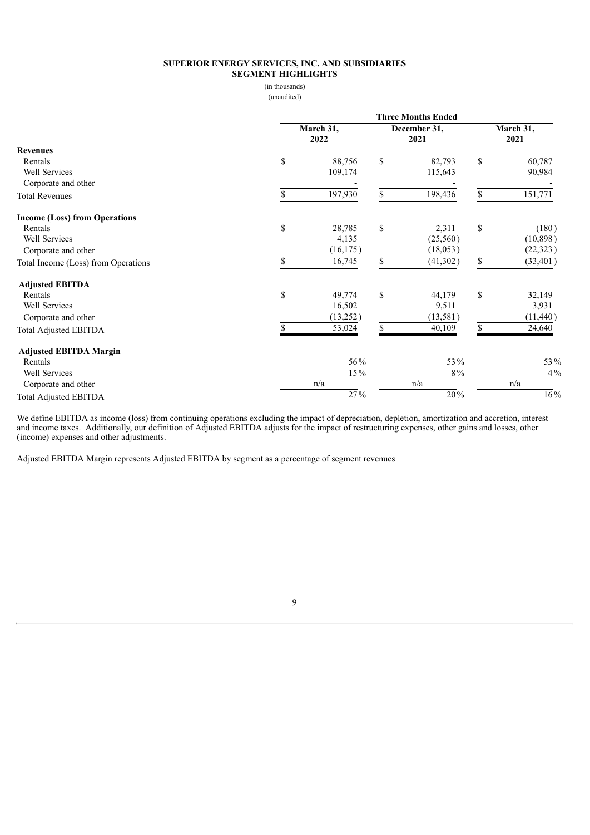#### **SUPERIOR ENERGY SERVICES, INC. AND SUBSIDIARIES SEGMENT HIGHLIGHTS**

(in thousands)

(unaudited)

|                                      | <b>Three Months Ended</b> |                   |    |                  |    |                   |  |  |
|--------------------------------------|---------------------------|-------------------|----|------------------|----|-------------------|--|--|
|                                      |                           | March 31,<br>2022 |    |                  |    | March 31,<br>2021 |  |  |
| <b>Revenues</b>                      |                           |                   |    |                  |    |                   |  |  |
| Rentals                              | \$                        | 88,756            | \$ | 82,793           | \$ | 60,787            |  |  |
| Well Services                        |                           | 109,174           |    | 115,643          |    | 90,984            |  |  |
| Corporate and other                  |                           |                   |    |                  |    |                   |  |  |
| <b>Total Revenues</b>                | \$.                       | 197,930           | \$ | 198,436          | \$ | 151,771           |  |  |
| <b>Income (Loss) from Operations</b> |                           |                   |    |                  |    |                   |  |  |
| Rentals                              | \$                        | 28,785            | \$ | 2,311            | \$ | (180)             |  |  |
| Well Services                        |                           | 4,135             |    | (25,560)         |    | (10, 898)         |  |  |
| Corporate and other                  |                           | (16, 175)         |    | (18, 053)        |    | (22, 323)         |  |  |
| Total Income (Loss) from Operations  | \$                        | 16,745            | \$ | (41, 302)        | \$ | (33, 401)         |  |  |
| <b>Adjusted EBITDA</b>               |                           |                   |    |                  |    |                   |  |  |
| Rentals                              | \$                        | 49,774            | \$ | 44,179           | \$ | 32,149            |  |  |
| Well Services                        |                           | 16,502            |    | 9,511            |    | 3,931             |  |  |
| Corporate and other                  |                           | (13,252)          |    | (13, 581)        |    | (11, 440)         |  |  |
| <b>Total Adjusted EBITDA</b>         |                           | 53,024            | \$ | 40,109           | \$ | 24,640            |  |  |
| <b>Adjusted EBITDA Margin</b>        |                           |                   |    |                  |    |                   |  |  |
| Rentals                              |                           | 56%               |    | 53%              |    | 53%               |  |  |
| Well Services                        |                           | 15%               |    | 8%               |    | $4\%$             |  |  |
| Corporate and other                  |                           | n/a               |    | n/a              |    | n/a               |  |  |
| <b>Total Adjusted EBITDA</b>         |                           | $\frac{27}{96}$   |    | $\frac{1}{20}$ % |    | $16\%$            |  |  |

We define EBITDA as income (loss) from continuing operations excluding the impact of depreciation, depletion, amortization and accretion, interest and income taxes. Additionally, our definition of Adjusted EBITDA adjusts for the impact of restructuring expenses, other gains and losses, other (income) expenses and other adjustments.

Adjusted EBITDA Margin represents Adjusted EBITDA by segment as a percentage of segment revenues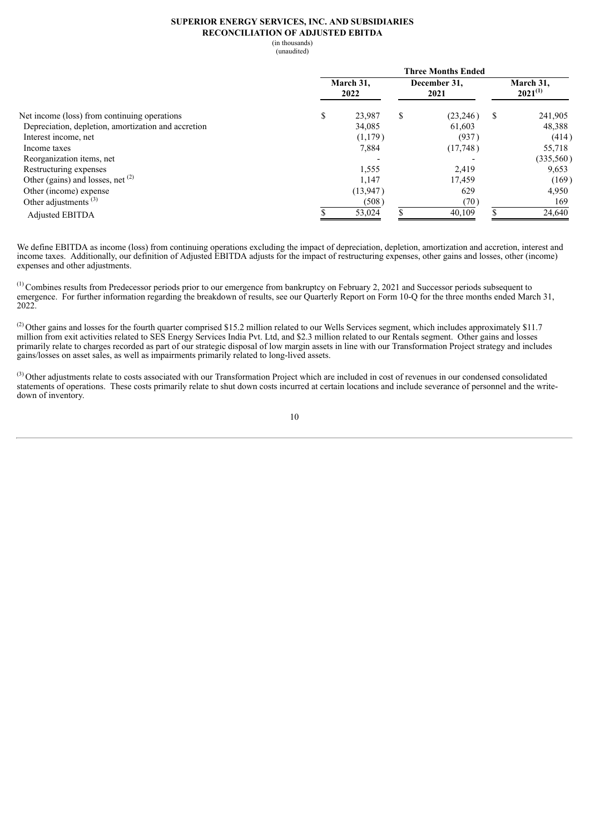#### **SUPERIOR ENERGY SERVICES, INC. AND SUBSIDIARIES RECONCILIATION OF ADJUSTED EBITDA**

(in thousands)

(unaudited)

|                                                     | <b>Three Months Ended</b> |          |                      |          |                           |           |  |  |  |  |
|-----------------------------------------------------|---------------------------|----------|----------------------|----------|---------------------------|-----------|--|--|--|--|
|                                                     | March 31,                 |          | December 31,<br>2021 |          | March 31.<br>$2021^{(1)}$ |           |  |  |  |  |
| Net income (loss) from continuing operations        | \$                        | 23,987   | \$                   | (23,246) | \$                        | 241,905   |  |  |  |  |
| Depreciation, depletion, amortization and accretion |                           | 34,085   |                      | 61,603   |                           | 48,388    |  |  |  |  |
| Interest income, net                                |                           | (1,179)  |                      | (937)    |                           | (414)     |  |  |  |  |
| Income taxes                                        |                           | 7,884    |                      | (17,748) |                           | 55,718    |  |  |  |  |
| Reorganization items, net                           |                           |          |                      |          |                           | (335,560) |  |  |  |  |
| Restructuring expenses                              |                           | 1,555    |                      | 2,419    |                           | 9,653     |  |  |  |  |
| Other (gains) and losses, net $(2)$                 |                           | 1,147    |                      | 17,459   |                           | (169)     |  |  |  |  |
| Other (income) expense                              |                           | (13,947) |                      | 629      |                           | 4,950     |  |  |  |  |
| Other adjustments $(3)$                             |                           | (508)    |                      | (70)     |                           | 169       |  |  |  |  |
| <b>Adjusted EBITDA</b>                              |                           | 53,024   |                      | 40.109   |                           | 24,640    |  |  |  |  |

We define EBITDA as income (loss) from continuing operations excluding the impact of depreciation, depletion, amortization and accretion, interest and income taxes. Additionally, our definition of Adjusted EBITDA adjusts for the impact of restructuring expenses, other gains and losses, other (income) expenses and other adjustments.

 $<sup>(1)</sup>$  Combines results from Predecessor periods prior to our emergence from bankruptcy on February 2, 2021 and Successor periods subsequent to</sup> emergence. For further information regarding the breakdown of results, see our Quarterly Report on Form 10-Q for the three months ended March 31, 2022.

 $^{(2)}$  Other gains and losses for the fourth quarter comprised \$15.2 million related to our Wells Services segment, which includes approximately \$11.7 million from exit activities related to SES Energy Services India Pvt. Ltd, and \$2.3 million related to our Rentals segment. Other gains and losses primarily relate to charges recorded as part of our strategic disposal of low margin assets in line with our Transformation Project strategy and includes gains/losses on asset sales, as well as impairments primarily related to long-lived assets.

 $(3)$  Other adjustments relate to costs associated with our Transformation Project which are included in cost of revenues in our condensed consolidated statements of operations. These costs primarily relate to shut down costs incurred at certain locations and include severance of personnel and the writedown of inventory.